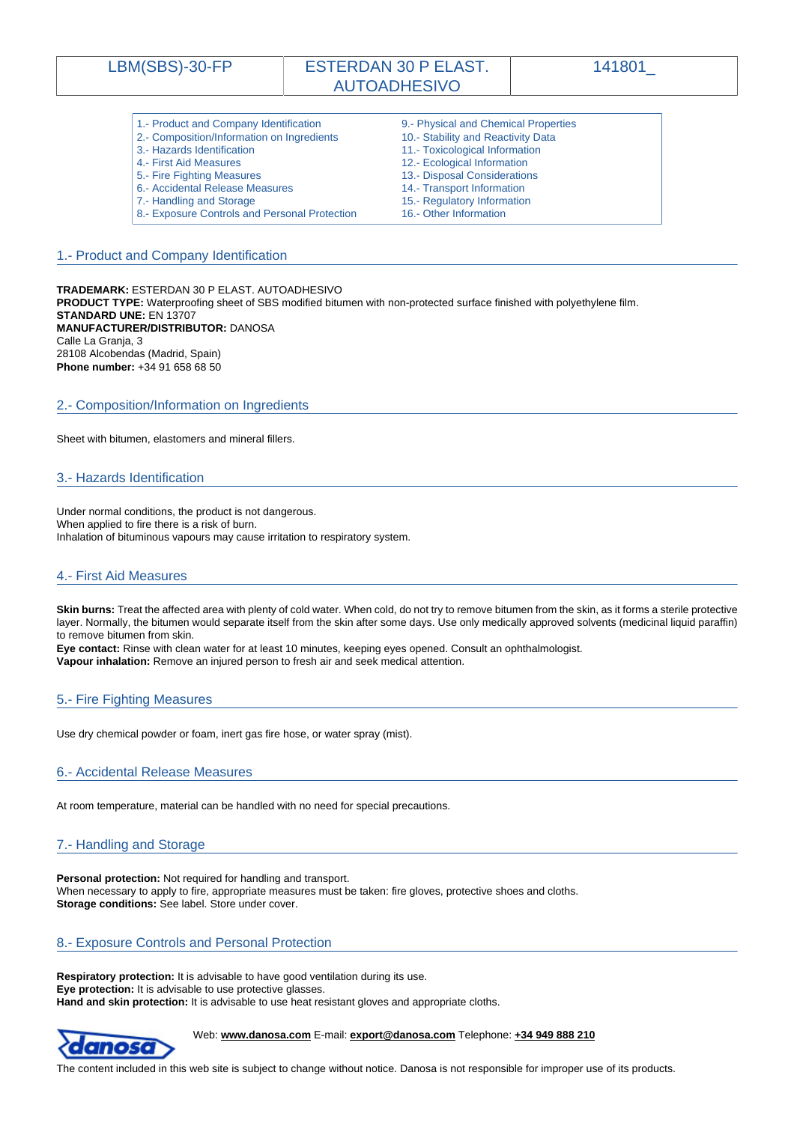|  | <b>_BM(SBS)-30-FP</b> |  |  |
|--|-----------------------|--|--|
|--|-----------------------|--|--|

# <span id="page-0-0"></span>LBM(SBS)-30-FP | ESTERDAN 30 P ELAST. AUTOADHESIVO

141801\_

| 1.- Product and Company Identification        | 9.- Physical and Chemical Properties |
|-----------------------------------------------|--------------------------------------|
| 2.- Composition/Information on Ingredients    | 10.- Stability and Reactivity Data   |
| 3.- Hazards Identification                    | 11.- Toxicological Information       |
| 4.- First Aid Measures                        | 12.- Ecological Information          |
| 5.- Fire Fighting Measures                    | 13.- Disposal Considerations         |
| 6.- Accidental Release Measures               | 14.- Transport Information           |
| 7.- Handling and Storage                      | 15.- Regulatory Information          |
| 8.- Exposure Controls and Personal Protection | 16.- Other Information               |

# 1.- Product and Company Identification

**TRADEMARK:** ESTERDAN 30 P ELAST. AUTOADHESIVO **PRODUCT TYPE:** Waterproofing sheet of SBS modified bitumen with non-protected surface finished with polyethylene film. **STANDARD UNE:** EN 13707 **MANUFACTURER/DISTRIBUTOR:** DANOSA Calle La Granja, 3 28108 Alcobendas (Madrid, Spain) **Phone number:** +34 91 658 68 50

# 2.- Composition/Information on Ingredients

Sheet with bitumen, elastomers and mineral fillers.

### 3.- Hazards Identification

Under normal conditions, the product is not dangerous. When applied to fire there is a risk of burn. Inhalation of bituminous vapours may cause irritation to respiratory system.

### 4.- First Aid Measures

**Skin burns:** Treat the affected area with plenty of cold water. When cold, do not try to remove bitumen from the skin, as it forms a sterile protective layer. Normally, the bitumen would separate itself from the skin after some days. Use only medically approved solvents (medicinal liquid paraffin) to remove bitumen from skin.

**Eye contact:** Rinse with clean water for at least 10 minutes, keeping eyes opened. Consult an ophthalmologist. **Vapour inhalation:** Remove an injured person to fresh air and seek medical attention.

# 5.- Fire Fighting Measures

Use dry chemical powder or foam, inert gas fire hose, or water spray (mist).

### 6.- Accidental Release Measures

At room temperature, material can be handled with no need for special precautions.

# 7.- Handling and Storage

**Personal protection:** Not required for handling and transport. When necessary to apply to fire, appropriate measures must be taken: fire gloves, protective shoes and cloths. **Storage conditions:** See label. Store under cover.

# 8.- Exposure Controls and Personal Protection

**Respiratory protection:** It is advisable to have good ventilation during its use. **Eye protection:** It is advisable to use protective glasses. **Hand and skin protection:** It is advisable to use heat resistant gloves and appropriate cloths.



Web: **www.danosa.com** E-mail: **export@danosa.com** Telephone: **+34 949 888 210**

The content included in this web site is subject to change without notice. Danosa is not responsible for improper use of its products.